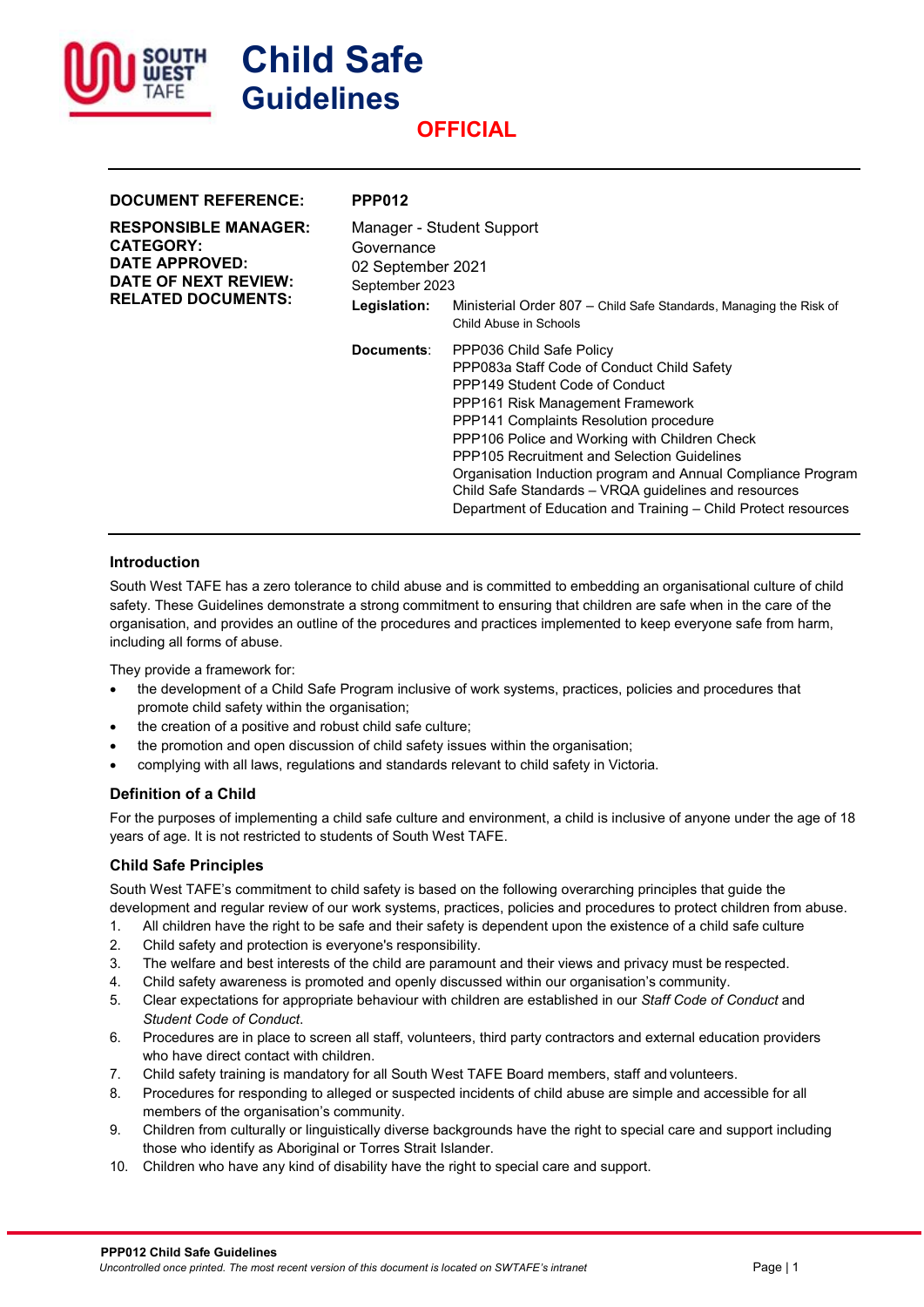

# **Child Safe Guidelines**

# **OFFICIAL**

| <b>DOCUMENT REFERENCE:</b>                                                                                             | <b>PPP012</b>                                                                                                                                                                                  |                                                                                                                                                                                                                                                                                                                                                                                                                                                                                         |
|------------------------------------------------------------------------------------------------------------------------|------------------------------------------------------------------------------------------------------------------------------------------------------------------------------------------------|-----------------------------------------------------------------------------------------------------------------------------------------------------------------------------------------------------------------------------------------------------------------------------------------------------------------------------------------------------------------------------------------------------------------------------------------------------------------------------------------|
| <b>RESPONSIBLE MANAGER:</b><br><b>CATEGORY:</b><br>DATE APPROVED:<br>DATE OF NEXT REVIEW:<br><b>RELATED DOCUMENTS:</b> | Manager - Student Support<br>Governance<br>02 September 2021<br>September 2023<br>Legislation:<br>Ministerial Order 807 – Child Safe Standards, Managing the Risk of<br>Child Abuse in Schools |                                                                                                                                                                                                                                                                                                                                                                                                                                                                                         |
|                                                                                                                        | Documents:                                                                                                                                                                                     | PPP036 Child Safe Policy<br>PPP083a Staff Code of Conduct Child Safety<br>PPP149 Student Code of Conduct<br>PPP161 Risk Management Framework<br>PPP141 Complaints Resolution procedure<br>PPP106 Police and Working with Children Check<br><b>PPP105 Recruitment and Selection Guidelines</b><br>Organisation Induction program and Annual Compliance Program<br>Child Safe Standards - VRQA guidelines and resources<br>Department of Education and Training - Child Protect resources |

## **Introduction**

South West TAFE has a zero tolerance to child abuse and is committed to embedding an organisational culture of child safety. These Guidelines demonstrate a strong commitment to ensuring that children are safe when in the care of the organisation, and provides an outline of the procedures and practices implemented to keep everyone safe from harm, including all forms of abuse.

They provide a framework for:

- the development of a Child Safe Program inclusive of work systems, practices, policies and procedures that promote child safety within the organisation;
- the creation of a positive and robust child safe culture;
- the promotion and open discussion of child safety issues within the organisation;
- complying with all laws, regulations and standards relevant to child safety in Victoria.

#### **Definition of a Child**

For the purposes of implementing a child safe culture and environment, a child is inclusive of anyone under the age of 18 years of age. It is not restricted to students of South West TAFE.

## **Child Safe Principles**

South West TAFE's commitment to child safety is based on the following overarching principles that guide the development and regular review of our work systems, practices, policies and procedures to protect children from abuse.

- 1. All children have the right to be safe and their safety is dependent upon the existence of a child safe culture
- 2. Child safety and protection is everyone's responsibility.
- 3. The welfare and best interests of the child are paramount and their views and privacy must be respected.
- 4. Child safety awareness is promoted and openly discussed within our organisation's community.
- 5. Clear expectations for appropriate behaviour with children are established in our *Staff Code of Conduct* and *Student Code of Conduct*.
- 6. Procedures are in place to screen all staff, volunteers, third party contractors and external education providers who have direct contact with children.
- 7. Child safety training is mandatory for all South West TAFE Board members, staff and volunteers.
- 8. Procedures for responding to alleged or suspected incidents of child abuse are simple and accessible for all members of the organisation's community.
- 9. Children from culturally or linguistically diverse backgrounds have the right to special care and support including those who identify as Aboriginal or Torres Strait Islander.
- 10. Children who have any kind of disability have the right to special care and support.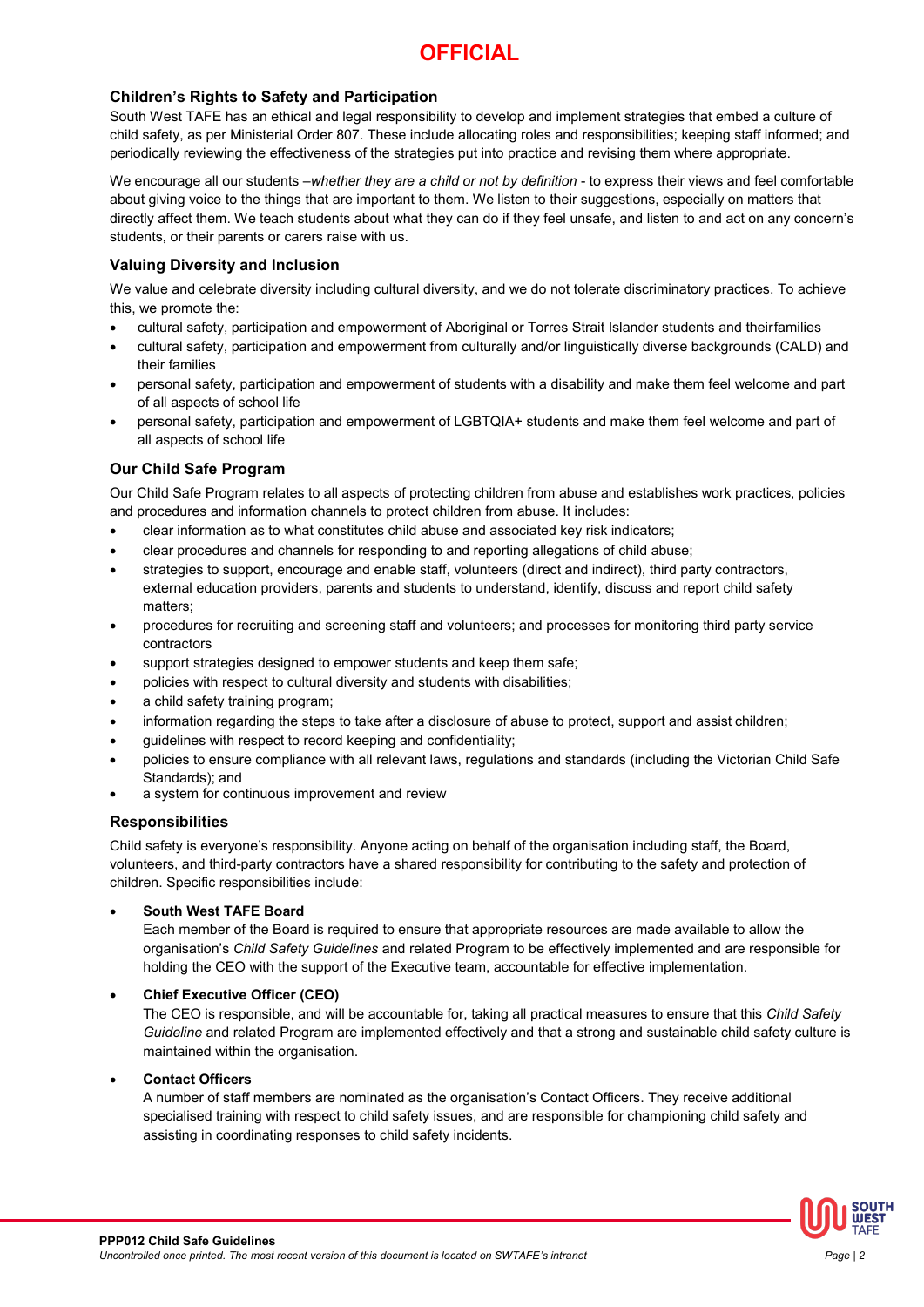# **OFFICIAL**

## **Children's Rights to Safety and Participation**

South West TAFE has an ethical and legal responsibility to develop and implement strategies that embed a culture of child safety, as per Ministerial Order 807. These include allocating roles and responsibilities; keeping staff informed; and periodically reviewing the effectiveness of the strategies put into practice and revising them where appropriate.

We encourage all our students –*whether they are a child or not by definition* - to express their views and feel comfortable about giving voice to the things that are important to them. We listen to their suggestions, especially on matters that directly affect them. We teach students about what they can do if they feel unsafe, and listen to and act on any concern's students, or their parents or carers raise with us.

## **Valuing Diversity and Inclusion**

We value and celebrate diversity including cultural diversity, and we do not tolerate discriminatory practices. To achieve this, we promote the:

- cultural safety, participation and empowerment of Aboriginal or Torres Strait Islander students and theirfamilies
- cultural safety, participation and empowerment from culturally and/or linguistically diverse backgrounds (CALD) and their families
- personal safety, participation and empowerment of students with a disability and make them feel welcome and part of all aspects of school life
- personal safety, participation and empowerment of LGBTQIA+ students and make them feel welcome and part of all aspects of school life

## **Our Child Safe Program**

Our Child Safe Program relates to all aspects of protecting children from abuse and establishes work practices, policies and procedures and information channels to protect children from abuse. It includes:

- clear information as to what constitutes child abuse and associated key risk indicators;
- clear procedures and channels for responding to and reporting allegations of child abuse;
- strategies to support, encourage and enable staff, volunteers (direct and indirect), third party contractors, external education providers, parents and students to understand, identify, discuss and report child safety matters;
- procedures for recruiting and screening staff and volunteers; and processes for monitoring third party service contractors
- support strategies designed to empower students and keep them safe;
- policies with respect to cultural diversity and students with disabilities;
- a child safety training program:
- information regarding the steps to take after a disclosure of abuse to protect, support and assist children;
- guidelines with respect to record keeping and confidentiality;
- policies to ensure compliance with all relevant laws, regulations and standards (including the Victorian Child Safe Standards); and
- a system for continuous improvement and review

#### **Responsibilities**

Child safety is everyone's responsibility. Anyone acting on behalf of the organisation including staff, the Board, volunteers, and third-party contractors have a shared responsibility for contributing to the safety and protection of children. Specific responsibilities include:

#### • **South West TAFE Board**

Each member of the Board is required to ensure that appropriate resources are made available to allow the organisation's *Child Safety Guidelines* and related Program to be effectively implemented and are responsible for holding the CEO with the support of the Executive team, accountable for effective implementation.

#### • **Chief Executive Officer (CEO)**

The CEO is responsible, and will be accountable for, taking all practical measures to ensure that this *Child Safety Guideline* and related Program are implemented effectively and that a strong and sustainable child safety culture is maintained within the organisation.

#### • **Contact Officers**

A number of staff members are nominated as the organisation's Contact Officers. They receive additional specialised training with respect to child safety issues, and are responsible for championing child safety and assisting in coordinating responses to child safety incidents.

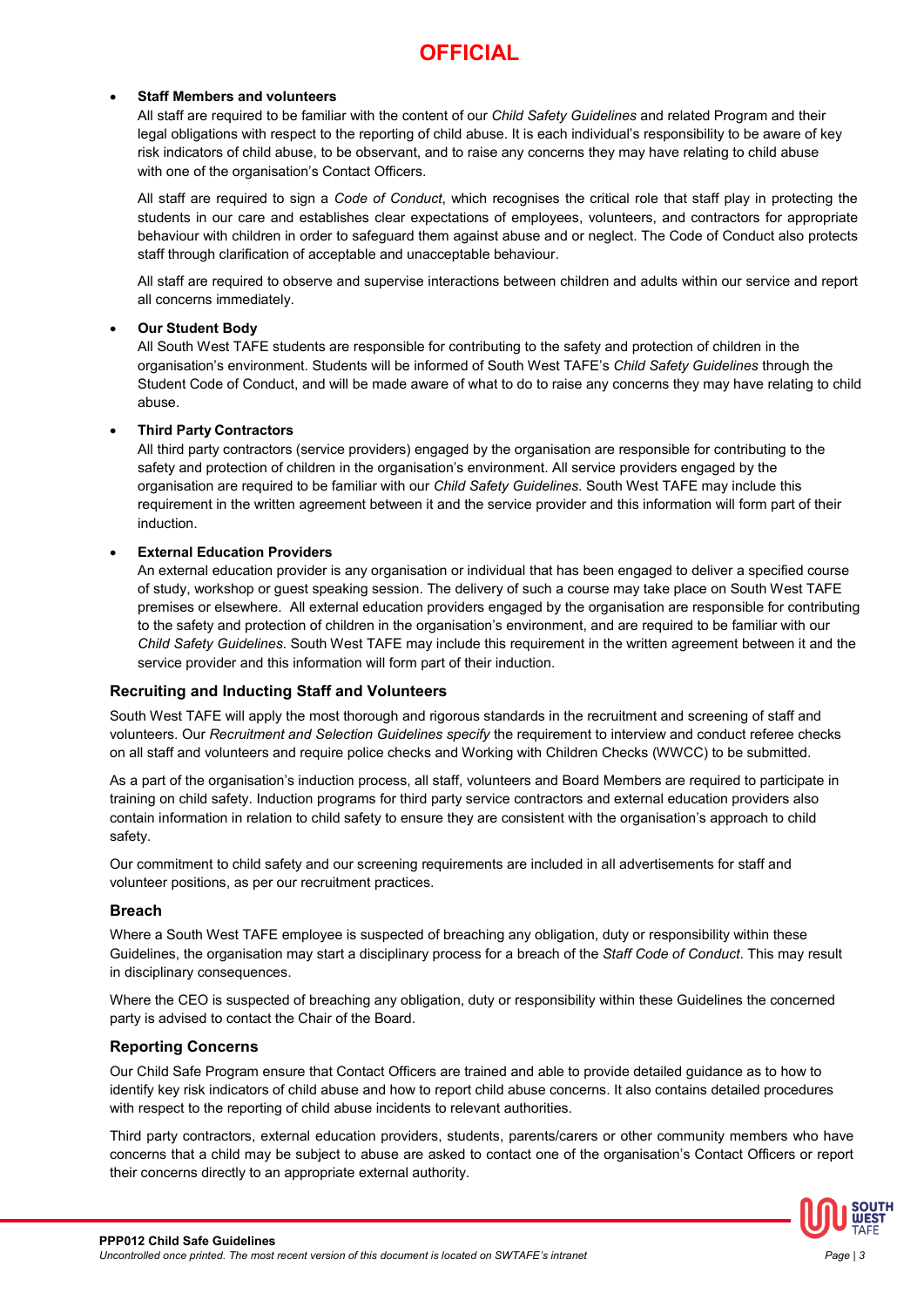#### • **Staff Members and volunteers**

All staff are required to be familiar with the content of our *Child Safety Guidelines* and related Program and their legal obligations with respect to the reporting of child abuse. It is each individual's responsibility to be aware of key risk indicators of child abuse, to be observant, and to raise any concerns they may have relating to child abuse with one of the organisation's Contact Officers.

All staff are required to sign a *Code of Conduct*, which recognises the critical role that staff play in protecting the students in our care and establishes clear expectations of employees, volunteers, and contractors for appropriate behaviour with children in order to safeguard them against abuse and or neglect. The Code of Conduct also protects staff through clarification of acceptable and unacceptable behaviour.

All staff are required to observe and supervise interactions between children and adults within our service and report all concerns immediately.

#### • **Our Student Body**

All South West TAFE students are responsible for contributing to the safety and protection of children in the organisation's environment. Students will be informed of South West TAFE's *Child Safety Guidelines* through the Student Code of Conduct, and will be made aware of what to do to raise any concerns they may have relating to child abuse.

#### • **Third Party Contractors**

All third party contractors (service providers) engaged by the organisation are responsible for contributing to the safety and protection of children in the organisation's environment. All service providers engaged by the organisation are required to be familiar with our *Child Safety Guidelines*. South West TAFE may include this requirement in the written agreement between it and the service provider and this information will form part of their induction.

#### **External Education Providers**

An external education provider is any organisation or individual that has been engaged to deliver a specified course of study, workshop or guest speaking session. The delivery of such a course may take place on South West TAFE premises or elsewhere. All external education providers engaged by the organisation are responsible for contributing to the safety and protection of children in the organisation's environment, and are required to be familiar with our *Child Safety Guidelines*. South West TAFE may include this requirement in the written agreement between it and the service provider and this information will form part of their induction.

#### **Recruiting and Inducting Staff and Volunteers**

South West TAFE will apply the most thorough and rigorous standards in the recruitment and screening of staff and volunteers. Our *Recruitment and Selection Guidelines specify* the requirement to interview and conduct referee checks on all staff and volunteers and require police checks and Working with Children Checks (WWCC) to be submitted.

As a part of the organisation's induction process, all staff, volunteers and Board Members are required to participate in training on child safety. Induction programs for third party service contractors and external education providers also contain information in relation to child safety to ensure they are consistent with the organisation's approach to child safety.

Our commitment to child safety and our screening requirements are included in all advertisements for staff and volunteer positions, as per our recruitment practices.

#### **Breach**

Where a South West TAFE employee is suspected of breaching any obligation, duty or responsibility within these Guidelines, the organisation may start a disciplinary process for a breach of the *Staff Code of Conduct*. This may result in disciplinary consequences.

Where the CEO is suspected of breaching any obligation, duty or responsibility within these Guidelines the concerned party is advised to contact the Chair of the Board.

#### **Reporting Concerns**

Our Child Safe Program ensure that Contact Officers are trained and able to provide detailed guidance as to how to identify key risk indicators of child abuse and how to report child abuse concerns. It also contains detailed procedures with respect to the reporting of child abuse incidents to relevant authorities.

Third party contractors, external education providers, students, parents/carers or other community members who have concerns that a child may be subject to abuse are asked to contact one of the organisation's Contact Officers or report their concerns directly to an appropriate external authority.